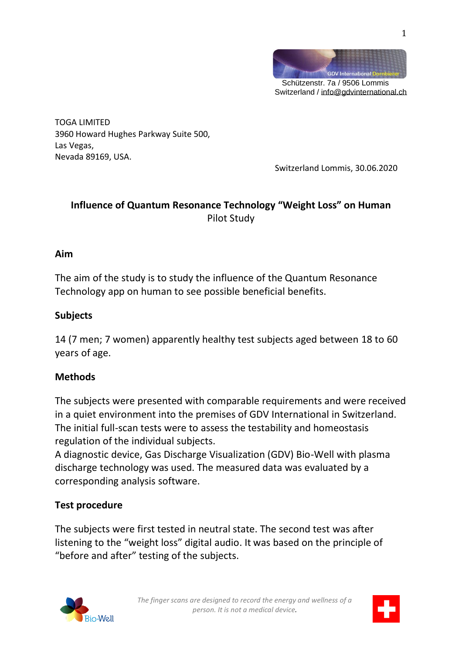

TOGA LIMITED 3960 Howard Hughes Parkway Suite 500, Las Vegas, Nevada 89169, USA.

Switzerland Lommis, 30.06.2020

## **Influence of Quantum Resonance Technology "Weight Loss" on Human** Pilot Study

#### **Aim**

The aim of the study is to study the influence of the Quantum Resonance Technology app on human to see possible beneficial benefits.

#### **Subjects**

14 (7 men; 7 women) apparently healthy test subjects aged between 18 to 60 years of age.

#### **Methods**

The subjects were presented with comparable requirements and were received in a quiet environment into the premises of GDV International in Switzerland. The initial full-scan tests were to assess the testability and homeostasis regulation of the individual subjects.

A diagnostic device, Gas Discharge Visualization (GDV) Bio-Well with plasma discharge technology was used. The measured data was evaluated by a corresponding analysis software.

#### **Test procedure**

The subjects were first tested in neutral state. The second test was after listening to the "weight loss" digital audio. It was based on the principle of "before and after" testing of the subjects.



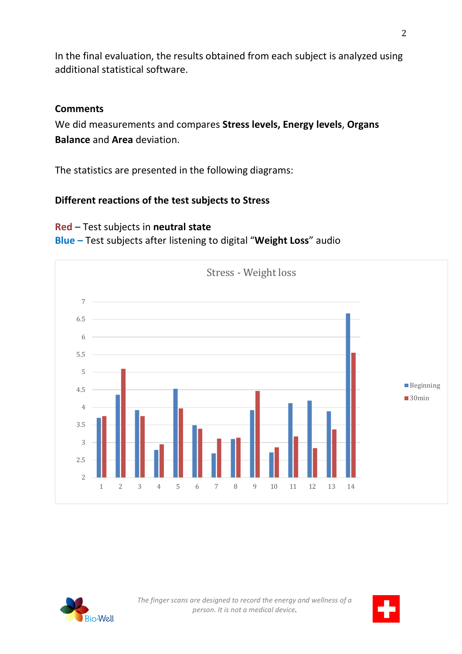In the final evaluation, the results obtained from each subject is analyzed using additional statistical software.

#### **Comments**

We did measurements and compares **Stress levels, Energy levels**, **Organs Balance** and **Area** deviation.

The statistics are presented in the following diagrams:

### **Different reactions of the test subjects to Stress**

### **Red** – Test subjects in **neutral state Blue –** Test subjects after listening to digital "**Weight Loss**" audio



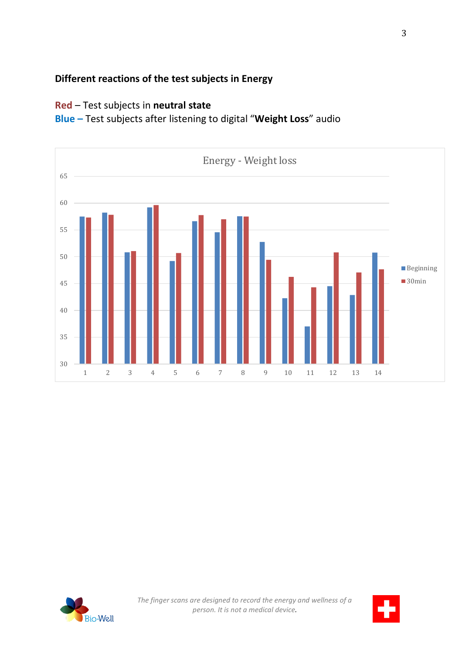# **Different reactions of the test subjects in Energy**

## **Red** – Test subjects in **neutral state**

**Blue –** Test subjects after listening to digital "**Weight Loss**" audio



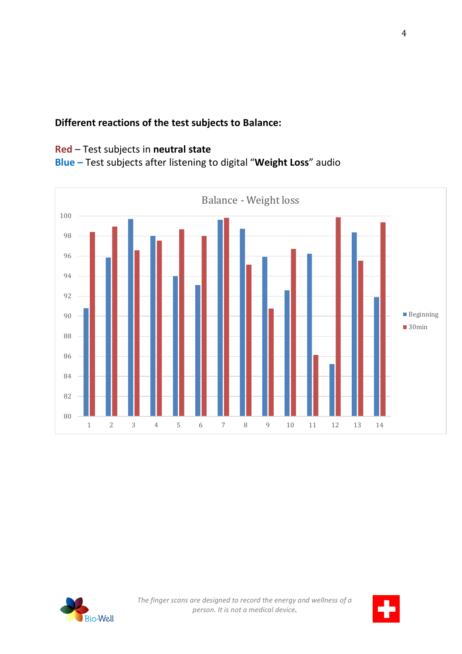### **Different reactions of the test subjects to Balance:**

## **Red** – Test subjects in **neutral state**

# **Blue –** Test subjects after listening to digital "**Weight Loss**" audio



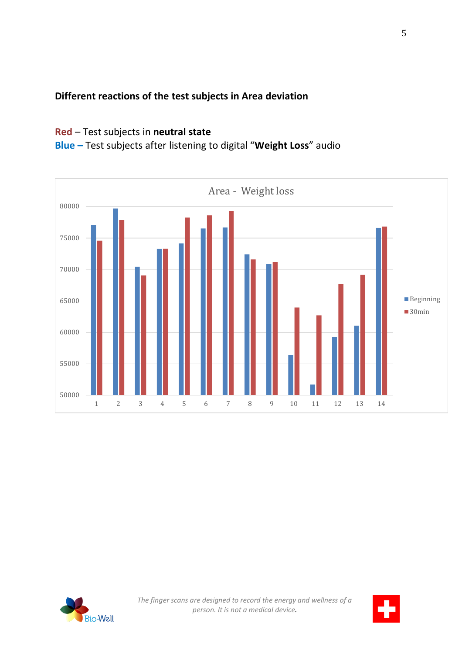# **Different reactions of the test subjects in Area deviation**

## **Red** – Test subjects in **neutral state**

**Blue –** Test subjects after listening to digital "**Weight Loss**" audio